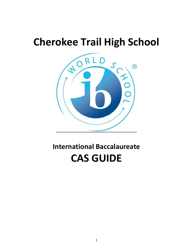# **Cherokee Trail High School**



# **International Baccalaureate CAS GUIDE**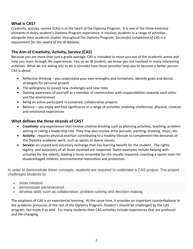# **What is CAS?**

Creativity, activity, service (CAS) is at the heart of the Diploma Program. It is one of the three essential elements in every student's Diploma Program experience. It involves students in a range of activities alongside their academic studies throughout the Diploma Program. *Successful completion of CAS is a requirement for the award of the IB diploma.*

# **The Aim of Creativity, Activity, Service (CAS)**

Because you are more than just a grade average, CAS is intended to move you out of the academic arena and help you learn through life experiences. Yes, as an IB student, we know you are involved in many interesting activities. What we are asking you to do is consider how these activities help you to become a better person. CAS is about:

- Reflective thinking you understand your own strengths and limitations, identify goals and devise strategies for personal growth
- The willingness to accept new challenges and new roles
- Gaining awareness of yourself as a member of communities with responsibilities towards each other and the environment
- Being an active participant in sustained, collaborative projects
- Balance you enjoy and find significance in a range of activities involving intellectual, physical, creative and emotional experiences

#### **What defines the three strands of CAS?**

- **Creativity:** any experiences that involve creative thinking such as planning activities, teaching, problem solving or taking a leadership role. They may also involve artist pursuits: painting, drawing, music, etc.
- **Activity:** requires physical exertion contributing to a healthy lifestyle to complement the demands of the Diploma academic work, such as sports or dance classes.
- **Service:** an unpaid and voluntary exchange that has learning benefit for the student. The rights, dignity, and autonomy of all those involved are respected. Some examples include helping with activities for the elderly, leading a music ensemble for the visually impaired, coaching a sports team for disadvantaged children, environmental restoration and protection.

In order to demonstrate these concepts, students are required to undertake a CAS project. The project challenges students to:

- show initiative
- demonstrate perseverance
- develop skills such as collaboration, problem solving and decision making.

The emphasis of CAS is on experiential learning. At the same time, it provides an important counterbalance to the academic pressures of the rest of the Diploma Program. Student's should be challenged by the CAS program, but enjoy it as well. For many students their CAS activities include experiences that are profound and life-changing.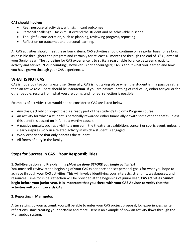#### **CAS should involve:**

- Real, purposeful activities, with significant outcomes
- Personal challenge tasks must extend the student and be achievable in scope
- Thoughtful consideration, such as planning, reviewing progress, reporting
- Reflection on outcomes and personal learning.

All CAS activities should meet these four criteria. CAS activities should continue on a regular basis for as long as possible throughout the program and certainly for at least 18 months or through the end of 3<sup>rd</sup> Quarter of your Senior year. The guideline for CAS experience is to strike a reasonable balance between creativity, activity and service. "Hour counting", however, is not encouraged; CAS is about what you learned and how you have grown through your CAS experiences.

## **WHAT IS NOT CAS**

CAS is not a points-scoring exercise. Generally, CAS is not taking place when the student is in a passive rather than an active role. There should be **interaction**. If you are passive, nothing of real value, either for you or for other people, results from what you are doing, and no real reflection is possible.

Examples of activities that would not be considered CAS are listed below:

- Any class, activity or project that is already part of the student's Diploma Program course.
- An activity for which a student is personally rewarded either financially or with some other benefit (unless this benefit is passed on in full to a worthy cause).
- A passive pursuit, such as a visit to a museum, the theatre, art exhibition, concert or sports event, unless it clearly inspires work in a related activity in which a student is engaged.
- Work experience that only benefits the student.
- All forms of duty in the family.

## **Steps for Success in CAS – Your Responsibilities**

#### **1. Self-Evaluation and Pre-planning** *(Must be done BEFORE you begin activities)*

You must self-review at the beginning of your CAS experience and set personal goals for what you hope to achieve through your CAS activities. This will involve identifying your interests, strengths, weaknesses, and resources. Time for initial reflection will be provided at the beginning of junior year; **CAS activities cannot begin before your junior year. It is important that you check with your CAS Advisor to verify that the activities will count towards CAS.**

#### **2. Reporting in Managebac**

After setting up your account, you will be able to enter your CAS project proposal, log experiences, write reflections, start creating your portfolio and more. Here is an example of how an activity flows through the Managebac system.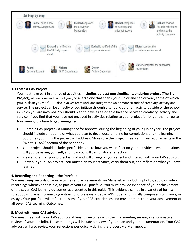

#### **3. Create a CAS Project**

You must take part in a range of activities, **including at least one significant, enduring project (The Big Project),** at least one each school year**,** or a large one that spans your junior and senior year**, some of which you initiate yourself** but, also involves teamwork and integrates two or more strands of creativity, activity and service. The project can be an activity you initiate through a school club or an activity outside of the school in which you are involved. You should plan to have a reasonable balance between creativity, activity and service. If you find that you have not engaged in activities relating to your project for longer than three to four weeks, it is time to get re-engaged.

- Submit a CAS project via Managebac for approval during the beginning of your junior year. The project should include an outline of what you plan to do, a loose timeline for completion, and the learning outcomes you think the project will address. Make sure the project meets all three requirements in the "What is CAS?" section of the handbook.
- Your project should include specific ideas as to how you will reflect on your activities—what questions will you be asking yourself, and how you will demonstrate reflection.
- Please note that your project is fluid and will change as you reflect and interact with your CAS advisor.
- Carry out your CAS project. You must plan your activities, carry them out, and reflect on what you have learned.

#### **4. Recording and Reporting – the Portfolio**

You must keep records of your activities and achievements via Managebac, including photos, audio or video recordings whenever possible, as part of your CAS portfolio. You must provide evidence of your achievement of the seven CAS learning outcomes as presented in this guide. This evidence can be in a variety of forms: scrapbooks, diaries, forum/blog entries, photo essays, videos/DVDs, poetry, originally composed song lyrics, or essays. Your portfolio will reflect the sum of your CAS experiences and must demonstrate your achievement of all seven CAS Learning Outcomes.

#### **5. Meet with your CAS advisors**

You must meet with your CAS advisors at least three times with the final meeting serving as a summative review of your portfolio. These meetings will include a review of your plan and your documentation. Your CAS advisors will also review your reflections periodically during the process via Managebac.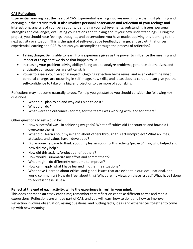#### **CAS Reflections**

Experiential learning is at the heart of CAS. Experiential learning involves much more than just planning and carrying out the activity itself. **It also involves personal observation and reflection of your feelings and interactions:** analysis of your perceptions, identifying your achievements, outstanding issues, personal strengths and challenges, evaluating your actions and thinking about your new understandings. During the project, you should note feelings, thoughts, and observations you have made, applying this learning to the next activity or situation. This is the spiral of self-evaluative feedback, change, and growth that drives experiential learning and CAS. What can you accomplish through the process of reflection?

- Taking charge: Being able to learn from experience gives us the power to influence the meaning and impact of things that we do or that happen to us.
- Increasing your problem solving ability: Being able to analyze problems, generate alternatives, and anticipate consequences are critical skills.
- Power to assess your personal impact: Ongoing reflection helps reveal and even determine what personal changes are occurring in self-image, new skills, and ideas about a career. It can give you the self-confidence to take on a bigger project or to use more of your skills.

Reflections may not come naturally to you. To help you get started you should consider the following key questions:

- What did I plan to do and why did I plan to do it?
- What did I do?
- What were the outcomes for me, for the team I was working with, and for others?

Other questions to ask would be:

- How successful was I in achieving my goals? What difficulties did I encounter, and how did I overcome them?
- What did I learn about myself and about others through this activity/project? What abilities, attitudes, and values have I developed?
- Did anyone help me to think about my learning during this activity/project? If so, who helped and how did they help?
- How did this activity/project benefit others?
- How would I summarize my effort and commitment?
- What might I do differently next time to improve?
- How can I apply what I have learned in other life situations?
- What have I learned about ethical and global issues that are evident in our local, national, and world community? How do I feel about this? What are my views on these issues? What have I done to address these issues?

#### **Reflect at the end of each activity, while the experience is fresh in your mind.**

This does not mean an essay each time; remember that reflection can take different forms and media expressions. Reflections are a huge part of CAS, and you will learn how to do it and how to improve. Reflection involves observation, asking questions, and putting facts, ideas and experiences together to come up with new meaning.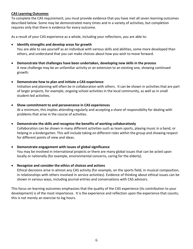#### **CAS Learning Outcomes**

To complete the CAS requirement, you must provide evidence that you have met all seven learning outcomes described below. Some may be demonstrated many times and in a variety of activities, but completion requires only that there is evidence for every outcome.

As a result of your CAS experience as a whole, including your reflections, you are able to:

#### • **Identify strengths and develop areas for growth**

You are able to see yourself as an individual with various skills and abilities, some more developed than others, and understand that you can make choices about how you wish to move forward.

- **Demonstrate that challenges have been undertaken, developing new skills in the process** A new challenge may be an unfamiliar activity or an extension to an existing one, showing continued growth.
- **Demonstrate how to plan and initiate a CAS experience**

Initiation and planning will often be in collaboration with others. It can be shown in activities that are part of larger projects, for example, ongoing school activities in the local community, as well as in small student-led activities.

#### • **Show commitment to and perseverance in CAS experiences**

At a minimum, this implies attending regularly and accepting a share of responsibility for dealing with problems that arise in the course of activities.

• **Demonstrate the skills and recognize the benefits of working collaboratively**

Collaboration can be shown in many different activities such as team sports, playing music in a band, or helping in a kindergarten. This will include taking on different roles within the group and showing respect for different points of view and ideas.

#### • **Demonstrate engagement with issues of global significance**

You may be involved in international projects or there are many global issues that can be acted upon locally or nationally (for example, environmental concerns, caring for the elderly).

• **Recognize and consider the ethics of choices and actions**

Ethical decisions arise in almost any CAS activity (for example, on the sports field, in musical composition, in relationships with others involved in service activities). Evidence of thinking about ethical issues can be shown in various ways, including journal entries and conversations with CAS advisors.

This focus on learning outcomes emphasizes that the quality of the CAS experience (its contribution to your development) is of the most importance. It is the experience and reflection upon the experience that counts; this is not merely an exercise to log hours.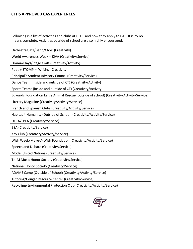Following is a list of activities and clubs at CTHS and how they apply to CAS. It is by no means complete. Activities outside of school are also highly encouraged.

Orchestra/Jazz/Band/Choir (Creativity)

World Awareness Week – KIVA (Creativity/Service)

Drama/Plays/Stage Craft (Creativity/Activity)

Poetry STOMP – Writing (Creativity)

Principal's Student Advisory Council (Creativity/Service)

Dance Team (inside and outside of CT) (Creativity/Activity)

Sports Teams (inside and outside of CT) (Creativity/Activity)

Edwards Foundation Large Animal Rescue (outside of school) (Creativity/Activity/Service)

Literary Magazine (Creativity/Activity/Service)

French and Spanish Clubs (Creativity/Activity/Service)

Habitat 4 Humanity (Outside of School) (Creativity/Activity/Service)

DECA/FBLA (Creativity/Service)

BSA (Creativity/Service)

Key Club (Creativity/Activity/Service)

Wish Week/Make-A-Wish Foundation (Creativity/Activity/Service)

Speech and Debate (Creativity/Service)

Model United Nations (Creativity/Service)

Tri-M Music Honor Society (Creativity/Service)

National Honor Society (Creativity/Service)

ADAMS Camp (Outside of School) (Creativity/Activity/Service)

Tutoring/Cougar Resource Center (Creativity/Service)

Recycling/Environmental Protection Club (Creativity/Activity/Service)